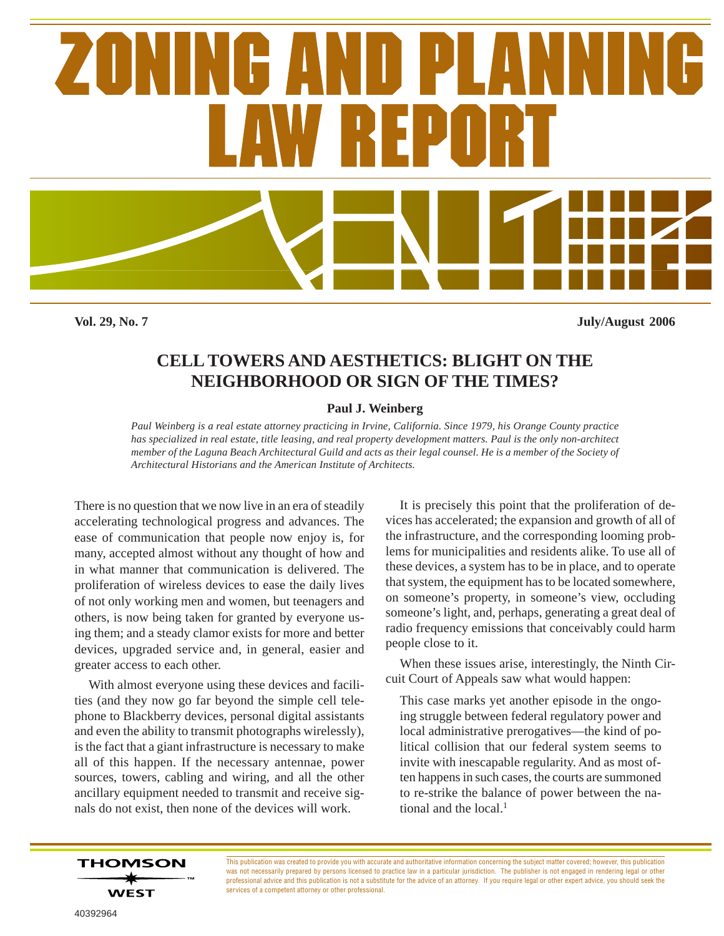

**Vol. 29, No. 7 July/August 2006**

# **CELL TOWERS AND AESTHETICS: BLIGHT ON THE NEIGHBORHOOD OR SIGN OF THE TIMES?**

# **Paul J. Weinberg**

*Paul Weinberg is a real estate attorney practicing in Irvine, California. Since 1979, his Orange County practice has specialized in real estate, title leasing, and real property development matters. Paul is the only non-architect member of the Laguna Beach Architectural Guild and acts as their legal counsel. He is a member of the Society of Architectural Historians and the American Institute of Architects.*

There is no question that we now live in an era of steadily accelerating technological progress and advances. The ease of communication that people now enjoy is, for many, accepted almost without any thought of how and in what manner that communication is delivered. The proliferation of wireless devices to ease the daily lives of not only working men and women, but teenagers and others, is now being taken for granted by everyone using them; and a steady clamor exists for more and better devices, upgraded service and, in general, easier and greater access to each other.

With almost everyone using these devices and facilities (and they now go far beyond the simple cell telephone to Blackberry devices, personal digital assistants and even the ability to transmit photographs wirelessly), is the fact that a giant infrastructure is necessary to make all of this happen. If the necessary antennae, power sources, towers, cabling and wiring, and all the other ancillary equipment needed to transmit and receive signals do not exist, then none of the devices will work.

It is precisely this point that the proliferation of devices has accelerated; the expansion and growth of all of the infrastructure, and the corresponding looming problems for municipalities and residents alike. To use all of these devices, a system has to be in place, and to operate that system, the equipment has to be located somewhere, on someone's property, in someone's view, occluding someone's light, and, perhaps, generating a great deal of radio frequency emissions that conceivably could harm people close to it.

When these issues arise, interestingly, the Ninth Circuit Court of Appeals saw what would happen:

This case marks yet another episode in the ongoing struggle between federal regulatory power and local administrative prerogatives—the kind of political collision that our federal system seems to invite with inescapable regularity. And as most often happens in such cases, the courts are summoned to re-strike the balance of power between the national and the local. $<sup>1</sup>$ </sup>

**THOMSON WEST** 

This publication was created to provide you with accurate and authoritative information concerning the subject matter covered; however, this publication was not necessarily prepared by persons licensed to practice law in a particular jurisdiction. The publisher is not engaged in rendering legal or other professional advice and this publication is not a substitute for the advice of an attorney. If you require legal or other expert advice, you should seek the services of a competent attorney or other professional.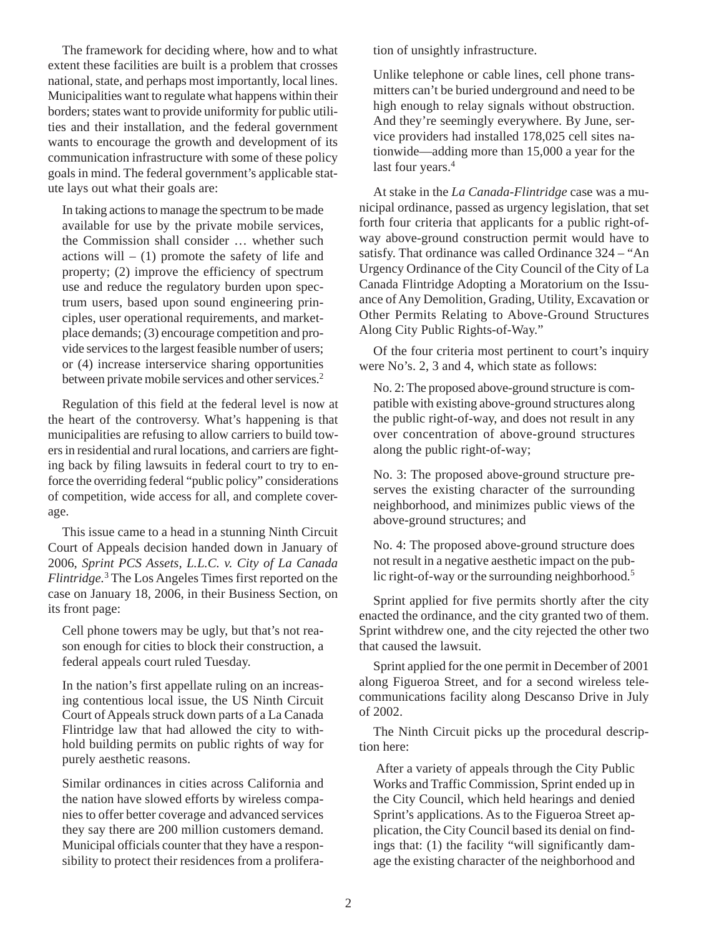The framework for deciding where, how and to what extent these facilities are built is a problem that crosses national, state, and perhaps most importantly, local lines. Municipalities want to regulate what happens within their borders; states want to provide uniformity for public utilities and their installation, and the federal government wants to encourage the growth and development of its communication infrastructure with some of these policy goals in mind. The federal government's applicable statute lays out what their goals are:

In taking actions to manage the spectrum to be made available for use by the private mobile services, the Commission shall consider … whether such actions will  $-$  (1) promote the safety of life and property; (2) improve the efficiency of spectrum use and reduce the regulatory burden upon spectrum users, based upon sound engineering principles, user operational requirements, and marketplace demands; (3) encourage competition and provide services to the largest feasible number of users; or (4) increase interservice sharing opportunities between private mobile services and other services.<sup>2</sup>

Regulation of this field at the federal level is now at the heart of the controversy. What's happening is that municipalities are refusing to allow carriers to build towers in residential and rural locations, and carriers are fighting back by filing lawsuits in federal court to try to enforce the overriding federal "public policy" considerations of competition, wide access for all, and complete coverage.

This issue came to a head in a stunning Ninth Circuit Court of Appeals decision handed down in January of 2006, *Sprint PCS Assets, L.L.C. v. City of La Canada Flintridge.*3 The Los Angeles Times first reported on the case on January 18, 2006, in their Business Section, on its front page:

Cell phone towers may be ugly, but that's not reason enough for cities to block their construction, a federal appeals court ruled Tuesday.

In the nation's first appellate ruling on an increasing contentious local issue, the US Ninth Circuit Court of Appeals struck down parts of a La Canada Flintridge law that had allowed the city to withhold building permits on public rights of way for purely aesthetic reasons.

Similar ordinances in cities across California and the nation have slowed efforts by wireless companies to offer better coverage and advanced services they say there are 200 million customers demand. Municipal officials counter that they have a responsibility to protect their residences from a proliferation of unsightly infrastructure.

Unlike telephone or cable lines, cell phone transmitters can't be buried underground and need to be high enough to relay signals without obstruction. And they're seemingly everywhere. By June, service providers had installed 178,025 cell sites nationwide—adding more than 15,000 a year for the last four years.<sup>4</sup>

At stake in the *La Canada-Flintridge* case was a municipal ordinance, passed as urgency legislation, that set forth four criteria that applicants for a public right-ofway above-ground construction permit would have to satisfy. That ordinance was called Ordinance 324 – "An Urgency Ordinance of the City Council of the City of La Canada Flintridge Adopting a Moratorium on the Issuance of Any Demolition, Grading, Utility, Excavation or Other Permits Relating to Above-Ground Structures Along City Public Rights-of-Way."

Of the four criteria most pertinent to court's inquiry were No's. 2, 3 and 4, which state as follows:

No. 2: The proposed above-ground structure is compatible with existing above-ground structures along the public right-of-way, and does not result in any over concentration of above-ground structures along the public right-of-way;

No. 3: The proposed above-ground structure preserves the existing character of the surrounding neighborhood, and minimizes public views of the above-ground structures; and

No. 4: The proposed above-ground structure does not result in a negative aesthetic impact on the public right-of-way or the surrounding neighborhood*.* 5

Sprint applied for five permits shortly after the city enacted the ordinance, and the city granted two of them. Sprint withdrew one, and the city rejected the other two that caused the lawsuit.

Sprint applied for the one permit in December of 2001 along Figueroa Street, and for a second wireless telecommunications facility along Descanso Drive in July of 2002.

The Ninth Circuit picks up the procedural description here:

 After a variety of appeals through the City Public Works and Traffic Commission, Sprint ended up in the City Council, which held hearings and denied Sprint's applications. As to the Figueroa Street application, the City Council based its denial on findings that: (1) the facility "will significantly damage the existing character of the neighborhood and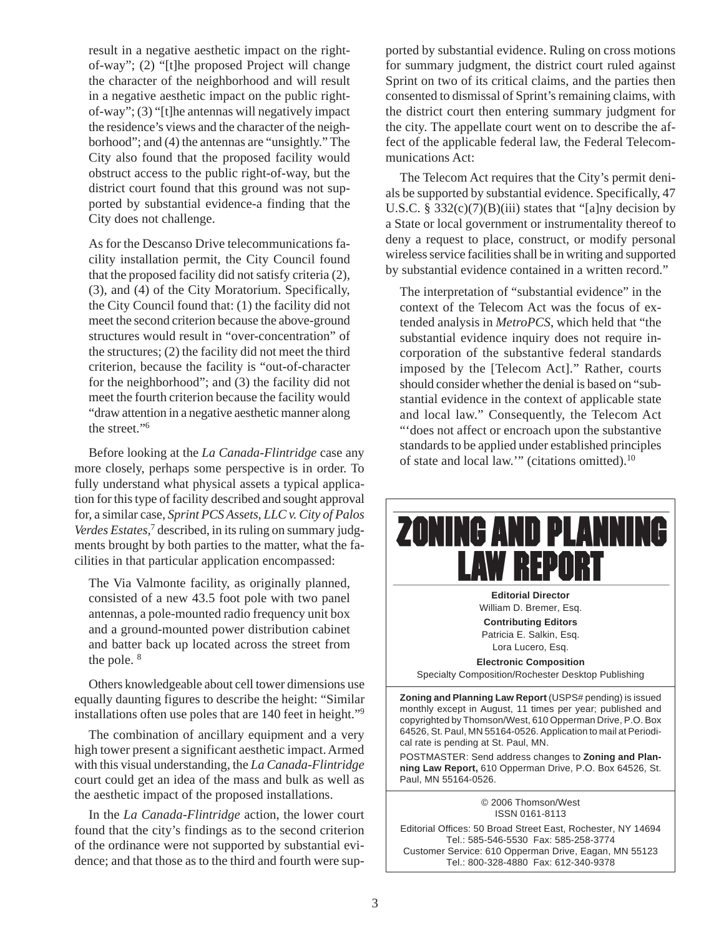result in a negative aesthetic impact on the rightof-way"; (2) "[t]he proposed Project will change the character of the neighborhood and will result in a negative aesthetic impact on the public rightof-way"; (3) "[t]he antennas will negatively impact the residence's views and the character of the neighborhood"; and (4) the antennas are "unsightly." The City also found that the proposed facility would obstruct access to the public right-of-way, but the district court found that this ground was not supported by substantial evidence-a finding that the City does not challenge.

As for the Descanso Drive telecommunications facility installation permit, the City Council found that the proposed facility did not satisfy criteria (2), (3), and (4) of the City Moratorium. Specifically, the City Council found that: (1) the facility did not meet the second criterion because the above-ground structures would result in "over-concentration" of the structures; (2) the facility did not meet the third criterion, because the facility is "out-of-character for the neighborhood"; and (3) the facility did not meet the fourth criterion because the facility would "draw attention in a negative aesthetic manner along the street."6

Before looking at the *La Canada-Flintridge* case any more closely, perhaps some perspective is in order. To fully understand what physical assets a typical application for this type of facility described and sought approval for, a similar case, *Sprint PCS Assets, LLC v. City of Palos* Verdes Estates,<sup>7</sup> described, in its ruling on summary judgments brought by both parties to the matter, what the facilities in that particular application encompassed:

The Via Valmonte facility, as originally planned, consisted of a new 43.5 foot pole with two panel antennas, a pole-mounted radio frequency unit box and a ground-mounted power distribution cabinet and batter back up located across the street from the pole.<sup>8</sup>

Others knowledgeable about cell tower dimensions use equally daunting figures to describe the height: "Similar installations often use poles that are 140 feet in height."9

The combination of ancillary equipment and a very high tower present a significant aesthetic impact. Armed with this visual understanding, the *La Canada-Flintridge* court could get an idea of the mass and bulk as well as the aesthetic impact of the proposed installations.

In the *La Canada-Flintridge* action, the lower court found that the city's findings as to the second criterion of the ordinance were not supported by substantial evidence; and that those as to the third and fourth were supported by substantial evidence. Ruling on cross motions for summary judgment, the district court ruled against Sprint on two of its critical claims, and the parties then consented to dismissal of Sprint's remaining claims, with the district court then entering summary judgment for the city. The appellate court went on to describe the affect of the applicable federal law, the Federal Telecommunications Act:

The Telecom Act requires that the City's permit denials be supported by substantial evidence. Specifically, 47 U.S.C. §  $332(c)(7)(B)(iii)$  states that "[a]ny decision by a State or local government or instrumentality thereof to deny a request to place, construct, or modify personal wireless service facilities shall be in writing and supported by substantial evidence contained in a written record."

The interpretation of "substantial evidence" in the context of the Telecom Act was the focus of extended analysis in *MetroPCS*, which held that "the substantial evidence inquiry does not require incorporation of the substantive federal standards imposed by the [Telecom Act]." Rather, courts should consider whether the denial is based on "substantial evidence in the context of applicable state and local law." Consequently, the Telecom Act "'does not affect or encroach upon the substantive standards to be applied under established principles of state and local law.'" (citations omitted).10

# **ZONING AND PLANNING LAW REPORT**

**Editorial Director** William D. Bremer, Esq. **Contributing Editors** Patricia E. Salkin, Esq. Lora Lucero, Esq.

**Electronic Composition** Specialty Composition/Rochester Desktop Publishing

**Zoning and Planning Law Report** (USPS# pending) is issued monthly except in August, 11 times per year; published and copyrighted by Thomson/West, 610 Opperman Drive, P.O. Box 64526, St. Paul, MN 55164-0526. Application to mail at Periodical rate is pending at St. Paul, MN.

POSTMASTER: Send address changes to **Zoning and Planning Law Report,** 610 Opperman Drive, P.O. Box 64526, St. Paul, MN 55164-0526.

> © 2006 Thomson/West ISSN 0161-8113

Editorial Offices: 50 Broad Street East, Rochester, NY 14694 Tel.: 585-546-5530 Fax: 585-258-3774 Customer Service: 610 Opperman Drive, Eagan, MN 55123 Tel.: 800-328-4880 Fax: 612-340-9378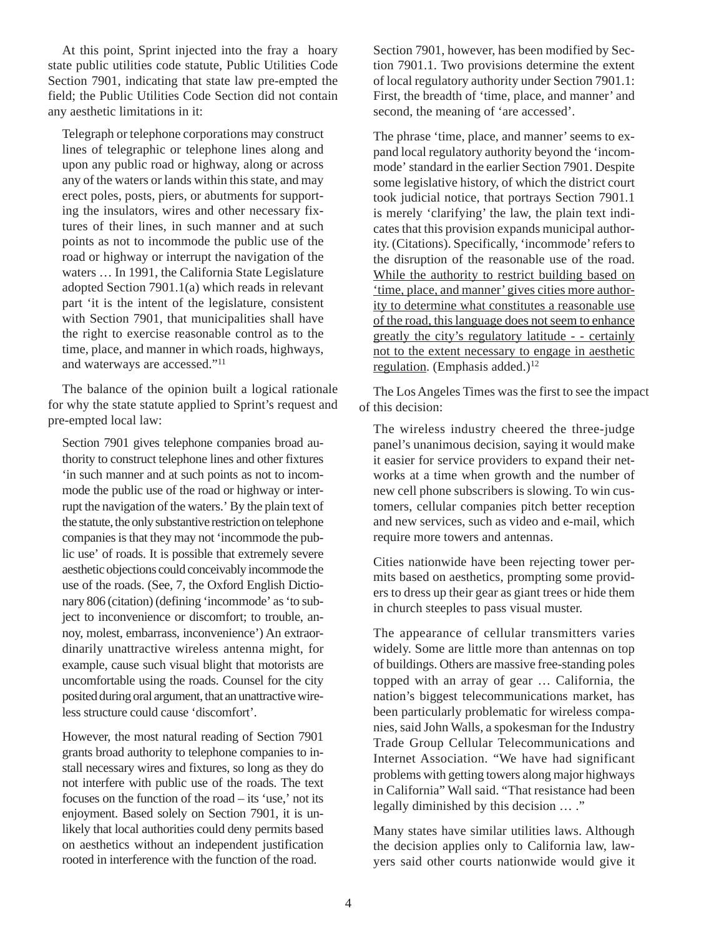At this point, Sprint injected into the fray a hoary state public utilities code statute, Public Utilities Code Section 7901, indicating that state law pre-empted the field; the Public Utilities Code Section did not contain any aesthetic limitations in it:

Telegraph or telephone corporations may construct lines of telegraphic or telephone lines along and upon any public road or highway, along or across any of the waters or lands within this state, and may erect poles, posts, piers, or abutments for supporting the insulators, wires and other necessary fixtures of their lines, in such manner and at such points as not to incommode the public use of the road or highway or interrupt the navigation of the waters … In 1991, the California State Legislature adopted Section 7901.1(a) which reads in relevant part 'it is the intent of the legislature, consistent with Section 7901, that municipalities shall have the right to exercise reasonable control as to the time, place, and manner in which roads, highways, and waterways are accessed."11

The balance of the opinion built a logical rationale for why the state statute applied to Sprint's request and pre-empted local law:

Section 7901 gives telephone companies broad authority to construct telephone lines and other fixtures 'in such manner and at such points as not to incommode the public use of the road or highway or interrupt the navigation of the waters.' By the plain text of the statute, the only substantive restriction on telephone companies is that they may not 'incommode the public use' of roads. It is possible that extremely severe aesthetic objections could conceivably incommode the use of the roads. (See, 7, the Oxford English Dictionary 806 (citation) (defining 'incommode' as 'to subject to inconvenience or discomfort; to trouble, annoy, molest, embarrass, inconvenience') An extraordinarily unattractive wireless antenna might, for example, cause such visual blight that motorists are uncomfortable using the roads. Counsel for the city posited during oral argument, that an unattractive wireless structure could cause 'discomfort'.

However, the most natural reading of Section 7901 grants broad authority to telephone companies to install necessary wires and fixtures, so long as they do not interfere with public use of the roads. The text focuses on the function of the road – its 'use,' not its enjoyment. Based solely on Section 7901, it is unlikely that local authorities could deny permits based on aesthetics without an independent justification rooted in interference with the function of the road.

Section 7901, however, has been modified by Section 7901.1. Two provisions determine the extent of local regulatory authority under Section 7901.1: First, the breadth of 'time, place, and manner' and second, the meaning of 'are accessed'.

The phrase 'time, place, and manner' seems to expand local regulatory authority beyond the 'incommode' standard in the earlier Section 7901. Despite some legislative history, of which the district court took judicial notice, that portrays Section 7901.1 is merely 'clarifying' the law, the plain text indicates that this provision expands municipal authority. (Citations). Specifically, 'incommode' refers to the disruption of the reasonable use of the road. While the authority to restrict building based on 'time, place, and manner' gives cities more authority to determine what constitutes a reasonable use of the road, this language does not seem to enhance greatly the city's regulatory latitude - - certainly not to the extent necessary to engage in aesthetic regulation. (Emphasis added.)<sup>12</sup>

The Los Angeles Times was the first to see the impact of this decision:

The wireless industry cheered the three-judge panel's unanimous decision, saying it would make it easier for service providers to expand their networks at a time when growth and the number of new cell phone subscribers is slowing. To win customers, cellular companies pitch better reception and new services, such as video and e-mail, which require more towers and antennas.

Cities nationwide have been rejecting tower permits based on aesthetics, prompting some providers to dress up their gear as giant trees or hide them in church steeples to pass visual muster.

The appearance of cellular transmitters varies widely. Some are little more than antennas on top of buildings. Others are massive free-standing poles topped with an array of gear … California, the nation's biggest telecommunications market, has been particularly problematic for wireless companies, said John Walls, a spokesman for the Industry Trade Group Cellular Telecommunications and Internet Association. "We have had significant problems with getting towers along major highways in California" Wall said. "That resistance had been legally diminished by this decision … ."

Many states have similar utilities laws. Although the decision applies only to California law, lawyers said other courts nationwide would give it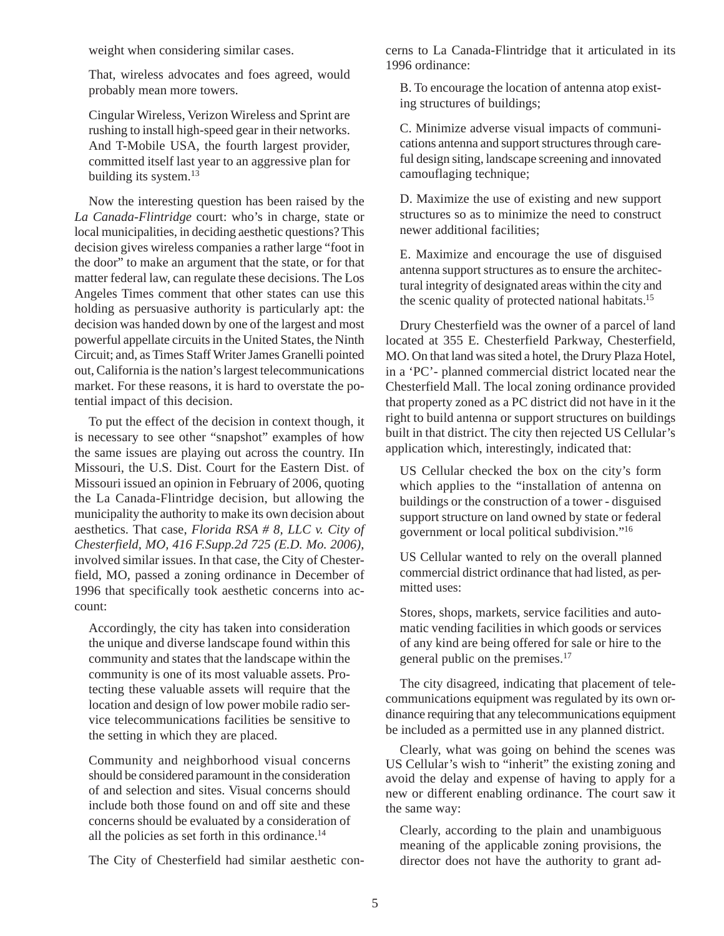weight when considering similar cases.

That, wireless advocates and foes agreed, would probably mean more towers.

Cingular Wireless, Verizon Wireless and Sprint are rushing to install high-speed gear in their networks. And T-Mobile USA, the fourth largest provider, committed itself last year to an aggressive plan for building its system. $13$ 

Now the interesting question has been raised by the *La Canada-Flintridge* court: who's in charge, state or local municipalities, in deciding aesthetic questions? This decision gives wireless companies a rather large "foot in the door" to make an argument that the state, or for that matter federal law, can regulate these decisions. The Los Angeles Times comment that other states can use this holding as persuasive authority is particularly apt: the decision was handed down by one of the largest and most powerful appellate circuits in the United States, the Ninth Circuit; and, as Times Staff Writer James Granelli pointed out, California is the nation's largest telecommunications market. For these reasons, it is hard to overstate the potential impact of this decision.

To put the effect of the decision in context though, it is necessary to see other "snapshot" examples of how the same issues are playing out across the country. IIn Missouri, the U.S. Dist. Court for the Eastern Dist. of Missouri issued an opinion in February of 2006, quoting the La Canada-Flintridge decision, but allowing the municipality the authority to make its own decision about aesthetics. That case, *Florida RSA # 8, LLC v. City of Chesterfield, MO, 416 F.Supp.2d 725 (E.D. Mo. 2006)*, involved similar issues. In that case, the City of Chesterfield, MO, passed a zoning ordinance in December of 1996 that specifically took aesthetic concerns into account:

Accordingly, the city has taken into consideration the unique and diverse landscape found within this community and states that the landscape within the community is one of its most valuable assets. Protecting these valuable assets will require that the location and design of low power mobile radio service telecommunications facilities be sensitive to the setting in which they are placed.

Community and neighborhood visual concerns should be considered paramount in the consideration of and selection and sites. Visual concerns should include both those found on and off site and these concerns should be evaluated by a consideration of all the policies as set forth in this ordinance.<sup>14</sup>

The City of Chesterfield had similar aesthetic con-

cerns to La Canada-Flintridge that it articulated in its 1996 ordinance:

B. To encourage the location of antenna atop existing structures of buildings;

C. Minimize adverse visual impacts of communications antenna and support structures through careful design siting, landscape screening and innovated camouflaging technique;

D. Maximize the use of existing and new support structures so as to minimize the need to construct newer additional facilities;

E. Maximize and encourage the use of disguised antenna support structures as to ensure the architectural integrity of designated areas within the city and the scenic quality of protected national habitats.15

Drury Chesterfield was the owner of a parcel of land located at 355 E. Chesterfield Parkway, Chesterfield, MO. On that land was sited a hotel, the Drury Plaza Hotel, in a 'PC'- planned commercial district located near the Chesterfield Mall. The local zoning ordinance provided that property zoned as a PC district did not have in it the right to build antenna or support structures on buildings built in that district. The city then rejected US Cellular's application which, interestingly, indicated that:

US Cellular checked the box on the city's form which applies to the "installation of antenna on buildings or the construction of a tower - disguised support structure on land owned by state or federal government or local political subdivision."16

US Cellular wanted to rely on the overall planned commercial district ordinance that had listed, as permitted uses:

Stores, shops, markets, service facilities and automatic vending facilities in which goods or services of any kind are being offered for sale or hire to the general public on the premises.17

The city disagreed, indicating that placement of telecommunications equipment was regulated by its own ordinance requiring that any telecommunications equipment be included as a permitted use in any planned district.

Clearly, what was going on behind the scenes was US Cellular's wish to "inherit" the existing zoning and avoid the delay and expense of having to apply for a new or different enabling ordinance. The court saw it the same way:

Clearly, according to the plain and unambiguous meaning of the applicable zoning provisions, the director does not have the authority to grant ad-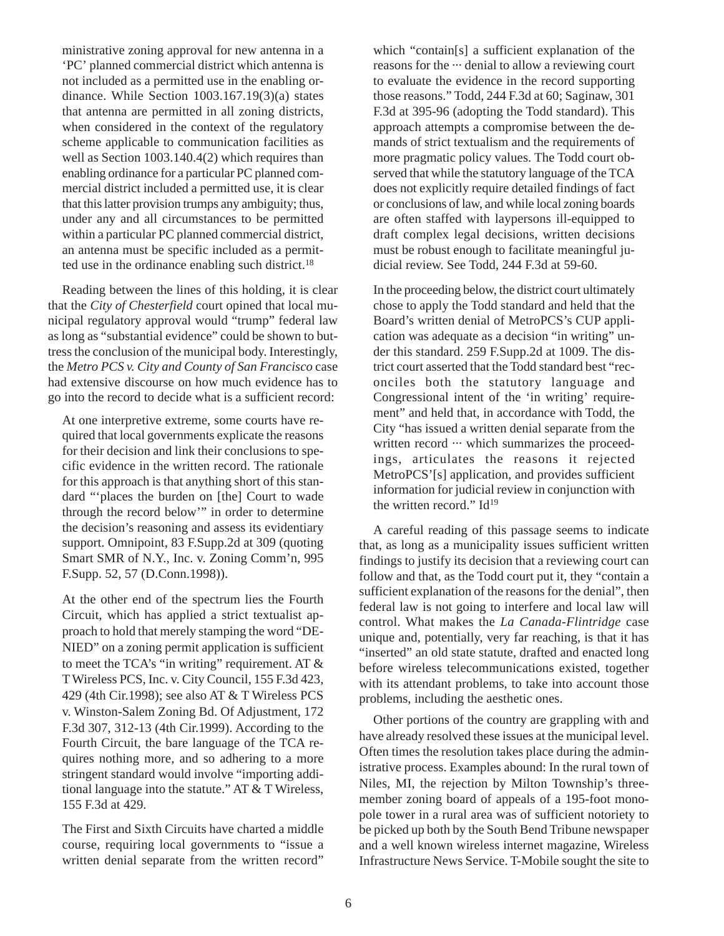ministrative zoning approval for new antenna in a 'PC' planned commercial district which antenna is not included as a permitted use in the enabling ordinance. While Section 1003.167.19(3)(a) states that antenna are permitted in all zoning districts, when considered in the context of the regulatory scheme applicable to communication facilities as well as Section 1003.140.4(2) which requires than enabling ordinance for a particular PC planned commercial district included a permitted use, it is clear that this latter provision trumps any ambiguity; thus, under any and all circumstances to be permitted within a particular PC planned commercial district, an antenna must be specific included as a permitted use in the ordinance enabling such district.<sup>18</sup>

Reading between the lines of this holding, it is clear that the *City of Chesterfield* court opined that local municipal regulatory approval would "trump" federal law as long as "substantial evidence" could be shown to buttress the conclusion of the municipal body. Interestingly, the *Metro PCS v. City and County of San Francisco* case had extensive discourse on how much evidence has to go into the record to decide what is a sufficient record:

At one interpretive extreme, some courts have required that local governments explicate the reasons for their decision and link their conclusions to specific evidence in the written record. The rationale for this approach is that anything short of this standard "'places the burden on [the] Court to wade through the record below'" in order to determine the decision's reasoning and assess its evidentiary support. Omnipoint, 83 F.Supp.2d at 309 (quoting Smart SMR of N.Y., Inc. v. Zoning Comm'n, 995 F.Supp. 52, 57 (D.Conn.1998)).

At the other end of the spectrum lies the Fourth Circuit, which has applied a strict textualist approach to hold that merely stamping the word "DE-NIED" on a zoning permit application is sufficient to meet the TCA's "in writing" requirement. AT  $\&$ T Wireless PCS, Inc. v. City Council, 155 F.3d 423, 429 (4th Cir.1998); see also AT & T Wireless PCS v. Winston-Salem Zoning Bd. Of Adjustment, 172 F.3d 307, 312-13 (4th Cir.1999). According to the Fourth Circuit, the bare language of the TCA requires nothing more, and so adhering to a more stringent standard would involve "importing additional language into the statute." AT & T Wireless, 155 F.3d at 429.

The First and Sixth Circuits have charted a middle course, requiring local governments to "issue a written denial separate from the written record"

which "contain[s] a sufficient explanation of the reasons for the ··· denial to allow a reviewing court to evaluate the evidence in the record supporting those reasons." Todd, 244 F.3d at 60; Saginaw, 301 F.3d at 395-96 (adopting the Todd standard). This approach attempts a compromise between the demands of strict textualism and the requirements of more pragmatic policy values. The Todd court observed that while the statutory language of the TCA does not explicitly require detailed findings of fact or conclusions of law, and while local zoning boards are often staffed with laypersons ill-equipped to draft complex legal decisions, written decisions must be robust enough to facilitate meaningful judicial review. See Todd, 244 F.3d at 59-60.

In the proceeding below, the district court ultimately chose to apply the Todd standard and held that the Board's written denial of MetroPCS's CUP application was adequate as a decision "in writing" under this standard. 259 F.Supp.2d at 1009. The district court asserted that the Todd standard best "reconciles both the statutory language and Congressional intent of the 'in writing' requirement" and held that, in accordance with Todd, the City "has issued a written denial separate from the written record  $\cdots$  which summarizes the proceedings, articulates the reasons it rejected MetroPCS'[s] application, and provides sufficient information for judicial review in conjunction with the written record."  $Id^{19}$ 

A careful reading of this passage seems to indicate that, as long as a municipality issues sufficient written findings to justify its decision that a reviewing court can follow and that, as the Todd court put it, they "contain a sufficient explanation of the reasons for the denial", then federal law is not going to interfere and local law will control. What makes the *La Canada-Flintridge* case unique and, potentially, very far reaching, is that it has "inserted" an old state statute, drafted and enacted long before wireless telecommunications existed, together with its attendant problems, to take into account those problems, including the aesthetic ones.

Other portions of the country are grappling with and have already resolved these issues at the municipal level. Often times the resolution takes place during the administrative process. Examples abound: In the rural town of Niles, MI, the rejection by Milton Township's threemember zoning board of appeals of a 195-foot monopole tower in a rural area was of sufficient notoriety to be picked up both by the South Bend Tribune newspaper and a well known wireless internet magazine, Wireless Infrastructure News Service. T-Mobile sought the site to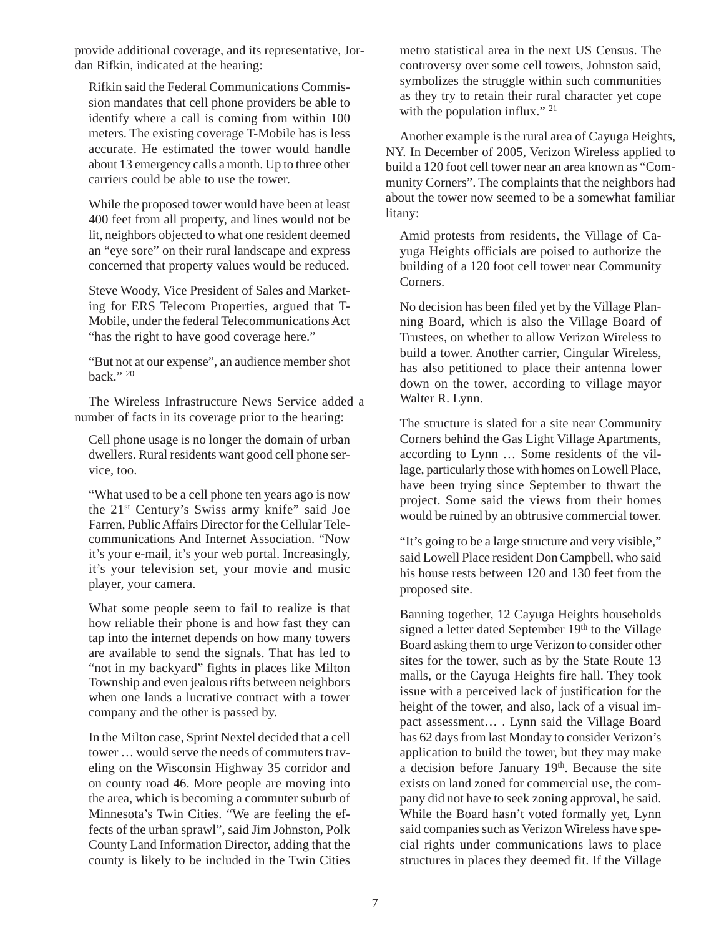provide additional coverage, and its representative, Jordan Rifkin, indicated at the hearing:

Rifkin said the Federal Communications Commission mandates that cell phone providers be able to identify where a call is coming from within 100 meters. The existing coverage T-Mobile has is less accurate. He estimated the tower would handle about 13 emergency calls a month. Up to three other carriers could be able to use the tower.

While the proposed tower would have been at least 400 feet from all property, and lines would not be lit, neighbors objected to what one resident deemed an "eye sore" on their rural landscape and express concerned that property values would be reduced.

Steve Woody, Vice President of Sales and Marketing for ERS Telecom Properties, argued that T-Mobile, under the federal Telecommunications Act "has the right to have good coverage here."

"But not at our expense", an audience member shot back." 20

The Wireless Infrastructure News Service added a number of facts in its coverage prior to the hearing:

Cell phone usage is no longer the domain of urban dwellers. Rural residents want good cell phone service, too.

"What used to be a cell phone ten years ago is now the 21st Century's Swiss army knife" said Joe Farren, Public Affairs Director for the Cellular Telecommunications And Internet Association. "Now it's your e-mail, it's your web portal. Increasingly, it's your television set, your movie and music player, your camera.

What some people seem to fail to realize is that how reliable their phone is and how fast they can tap into the internet depends on how many towers are available to send the signals. That has led to "not in my backyard" fights in places like Milton Township and even jealous rifts between neighbors when one lands a lucrative contract with a tower company and the other is passed by.

In the Milton case, Sprint Nextel decided that a cell tower … would serve the needs of commuters traveling on the Wisconsin Highway 35 corridor and on county road 46. More people are moving into the area, which is becoming a commuter suburb of Minnesota's Twin Cities. "We are feeling the effects of the urban sprawl", said Jim Johnston, Polk County Land Information Director, adding that the county is likely to be included in the Twin Cities metro statistical area in the next US Census. The controversy over some cell towers, Johnston said, symbolizes the struggle within such communities as they try to retain their rural character yet cope with the population influx." <sup>21</sup>

Another example is the rural area of Cayuga Heights, NY. In December of 2005, Verizon Wireless applied to build a 120 foot cell tower near an area known as "Community Corners". The complaints that the neighbors had about the tower now seemed to be a somewhat familiar litany:

Amid protests from residents, the Village of Cayuga Heights officials are poised to authorize the building of a 120 foot cell tower near Community Corners.

No decision has been filed yet by the Village Planning Board, which is also the Village Board of Trustees, on whether to allow Verizon Wireless to build a tower. Another carrier, Cingular Wireless, has also petitioned to place their antenna lower down on the tower, according to village mayor Walter R. Lynn.

The structure is slated for a site near Community Corners behind the Gas Light Village Apartments, according to Lynn … Some residents of the village, particularly those with homes on Lowell Place, have been trying since September to thwart the project. Some said the views from their homes would be ruined by an obtrusive commercial tower.

"It's going to be a large structure and very visible," said Lowell Place resident Don Campbell, who said his house rests between 120 and 130 feet from the proposed site.

Banning together, 12 Cayuga Heights households signed a letter dated September 19th to the Village Board asking them to urge Verizon to consider other sites for the tower, such as by the State Route 13 malls, or the Cayuga Heights fire hall. They took issue with a perceived lack of justification for the height of the tower, and also, lack of a visual impact assessment… . Lynn said the Village Board has 62 days from last Monday to consider Verizon's application to build the tower, but they may make a decision before January 19<sup>th</sup>. Because the site exists on land zoned for commercial use, the company did not have to seek zoning approval, he said. While the Board hasn't voted formally yet, Lynn said companies such as Verizon Wireless have special rights under communications laws to place structures in places they deemed fit. If the Village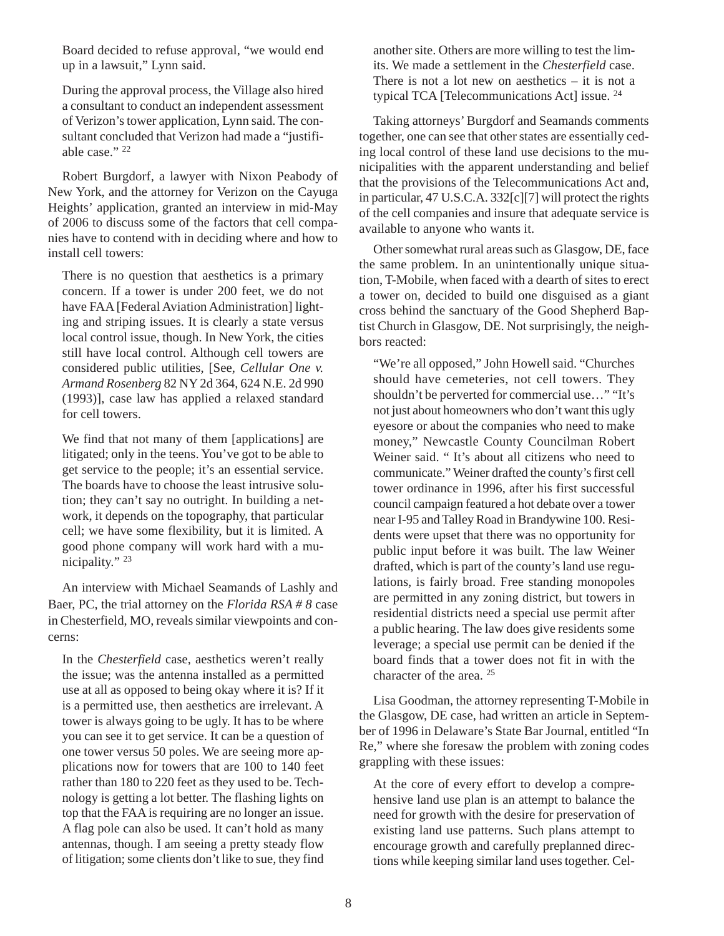Board decided to refuse approval, "we would end up in a lawsuit," Lynn said.

During the approval process, the Village also hired a consultant to conduct an independent assessment of Verizon's tower application, Lynn said. The consultant concluded that Verizon had made a "justifiable case." 22

Robert Burgdorf, a lawyer with Nixon Peabody of New York, and the attorney for Verizon on the Cayuga Heights' application, granted an interview in mid-May of 2006 to discuss some of the factors that cell companies have to contend with in deciding where and how to install cell towers:

There is no question that aesthetics is a primary concern. If a tower is under 200 feet, we do not have FAA [Federal Aviation Administration] lighting and striping issues. It is clearly a state versus local control issue, though. In New York, the cities still have local control. Although cell towers are considered public utilities, [See, *Cellular One v. Armand Rosenberg* 82 NY 2d 364, 624 N.E. 2d 990 (1993)], case law has applied a relaxed standard for cell towers.

We find that not many of them [applications] are litigated; only in the teens. You've got to be able to get service to the people; it's an essential service. The boards have to choose the least intrusive solution; they can't say no outright. In building a network, it depends on the topography, that particular cell; we have some flexibility, but it is limited. A good phone company will work hard with a municipality." 23

An interview with Michael Seamands of Lashly and Baer, PC, the trial attorney on the *Florida RSA # 8* case in Chesterfield, MO, reveals similar viewpoints and concerns:

In the *Chesterfield* case, aesthetics weren't really the issue; was the antenna installed as a permitted use at all as opposed to being okay where it is? If it is a permitted use, then aesthetics are irrelevant. A tower is always going to be ugly. It has to be where you can see it to get service. It can be a question of one tower versus 50 poles. We are seeing more applications now for towers that are 100 to 140 feet rather than 180 to 220 feet as they used to be. Technology is getting a lot better. The flashing lights on top that the FAA is requiring are no longer an issue. A flag pole can also be used. It can't hold as many antennas, though. I am seeing a pretty steady flow of litigation; some clients don't like to sue, they find another site. Others are more willing to test the limits. We made a settlement in the *Chesterfield* case. There is not a lot new on aesthetics  $-$  it is not a typical TCA [Telecommunications Act] issue. <sup>24</sup>

Taking attorneys' Burgdorf and Seamands comments together, one can see that other states are essentially ceding local control of these land use decisions to the municipalities with the apparent understanding and belief that the provisions of the Telecommunications Act and, in particular, 47 U.S.C.A. 332[c][7] will protect the rights of the cell companies and insure that adequate service is available to anyone who wants it.

Other somewhat rural areas such as Glasgow, DE, face the same problem. In an unintentionally unique situation, T-Mobile, when faced with a dearth of sites to erect a tower on, decided to build one disguised as a giant cross behind the sanctuary of the Good Shepherd Baptist Church in Glasgow, DE. Not surprisingly, the neighbors reacted:

"We're all opposed," John Howell said. "Churches should have cemeteries, not cell towers. They shouldn't be perverted for commercial use…" "It's not just about homeowners who don't want this ugly eyesore or about the companies who need to make money," Newcastle County Councilman Robert Weiner said. "It's about all citizens who need to communicate." Weiner drafted the county's first cell tower ordinance in 1996, after his first successful council campaign featured a hot debate over a tower near I-95 and Talley Road in Brandywine 100. Residents were upset that there was no opportunity for public input before it was built. The law Weiner drafted, which is part of the county's land use regulations, is fairly broad. Free standing monopoles are permitted in any zoning district, but towers in residential districts need a special use permit after a public hearing. The law does give residents some leverage; a special use permit can be denied if the board finds that a tower does not fit in with the character of the area. 25

Lisa Goodman, the attorney representing T-Mobile in the Glasgow, DE case, had written an article in September of 1996 in Delaware's State Bar Journal, entitled "In Re," where she foresaw the problem with zoning codes grappling with these issues:

At the core of every effort to develop a comprehensive land use plan is an attempt to balance the need for growth with the desire for preservation of existing land use patterns. Such plans attempt to encourage growth and carefully preplanned directions while keeping similar land uses together. Cel-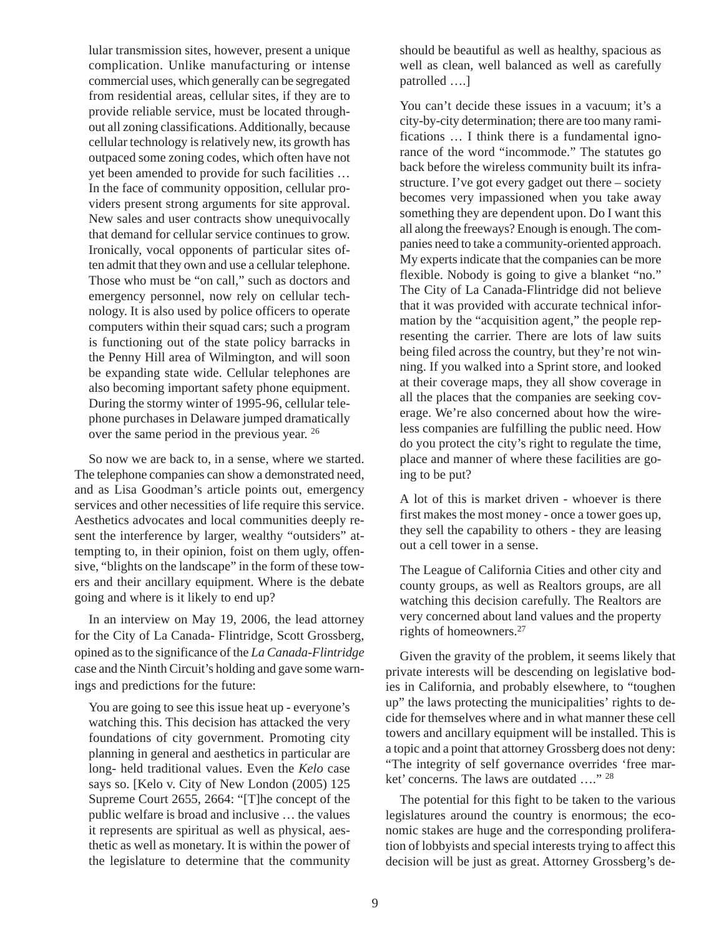lular transmission sites, however, present a unique complication. Unlike manufacturing or intense commercial uses, which generally can be segregated from residential areas, cellular sites, if they are to provide reliable service, must be located throughout all zoning classifications. Additionally, because cellular technology is relatively new, its growth has outpaced some zoning codes, which often have not yet been amended to provide for such facilities … In the face of community opposition, cellular providers present strong arguments for site approval. New sales and user contracts show unequivocally that demand for cellular service continues to grow. Ironically, vocal opponents of particular sites often admit that they own and use a cellular telephone. Those who must be "on call," such as doctors and emergency personnel, now rely on cellular technology. It is also used by police officers to operate computers within their squad cars; such a program is functioning out of the state policy barracks in the Penny Hill area of Wilmington, and will soon be expanding state wide. Cellular telephones are also becoming important safety phone equipment. During the stormy winter of 1995-96, cellular telephone purchases in Delaware jumped dramatically over the same period in the previous year. 26

So now we are back to, in a sense, where we started. The telephone companies can show a demonstrated need, and as Lisa Goodman's article points out, emergency services and other necessities of life require this service. Aesthetics advocates and local communities deeply resent the interference by larger, wealthy "outsiders" attempting to, in their opinion, foist on them ugly, offensive, "blights on the landscape" in the form of these towers and their ancillary equipment. Where is the debate going and where is it likely to end up?

In an interview on May 19, 2006, the lead attorney for the City of La Canada- Flintridge, Scott Grossberg, opined as to the significance of the *La Canada-Flintridge* case and the Ninth Circuit's holding and gave some warnings and predictions for the future:

You are going to see this issue heat up - everyone's watching this. This decision has attacked the very foundations of city government. Promoting city planning in general and aesthetics in particular are long- held traditional values. Even the *Kelo* case says so. [Kelo v. City of New London (2005) 125 Supreme Court 2655, 2664: "[T]he concept of the public welfare is broad and inclusive … the values it represents are spiritual as well as physical, aesthetic as well as monetary. It is within the power of the legislature to determine that the community

should be beautiful as well as healthy, spacious as well as clean, well balanced as well as carefully patrolled ….]

You can't decide these issues in a vacuum; it's a city-by-city determination; there are too many ramifications … I think there is a fundamental ignorance of the word "incommode." The statutes go back before the wireless community built its infrastructure. I've got every gadget out there – society becomes very impassioned when you take away something they are dependent upon. Do I want this all along the freeways? Enough is enough. The companies need to take a community-oriented approach. My experts indicate that the companies can be more flexible. Nobody is going to give a blanket "no." The City of La Canada-Flintridge did not believe that it was provided with accurate technical information by the "acquisition agent," the people representing the carrier. There are lots of law suits being filed across the country, but they're not winning. If you walked into a Sprint store, and looked at their coverage maps, they all show coverage in all the places that the companies are seeking coverage. We're also concerned about how the wireless companies are fulfilling the public need. How do you protect the city's right to regulate the time, place and manner of where these facilities are going to be put?

A lot of this is market driven - whoever is there first makes the most money - once a tower goes up, they sell the capability to others - they are leasing out a cell tower in a sense.

The League of California Cities and other city and county groups, as well as Realtors groups, are all watching this decision carefully. The Realtors are very concerned about land values and the property rights of homeowners.27

Given the gravity of the problem, it seems likely that private interests will be descending on legislative bodies in California, and probably elsewhere, to "toughen up" the laws protecting the municipalities' rights to decide for themselves where and in what manner these cell towers and ancillary equipment will be installed. This is a topic and a point that attorney Grossberg does not deny: "The integrity of self governance overrides 'free market' concerns. The laws are outdated …." <sup>28</sup>

The potential for this fight to be taken to the various legislatures around the country is enormous; the economic stakes are huge and the corresponding proliferation of lobbyists and special interests trying to affect this decision will be just as great. Attorney Grossberg's de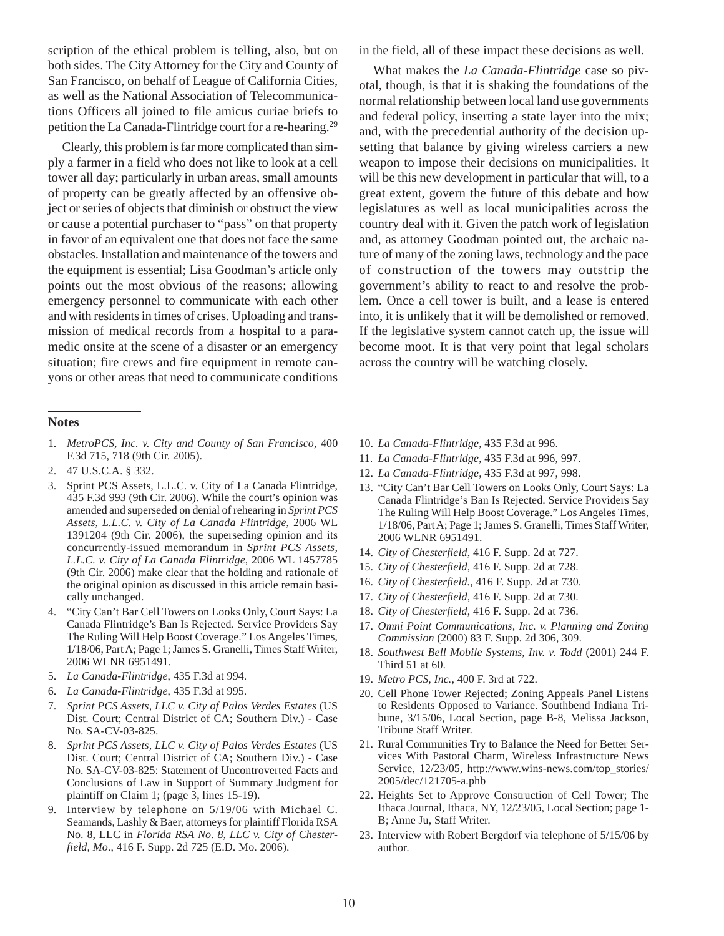scription of the ethical problem is telling, also, but on both sides. The City Attorney for the City and County of San Francisco, on behalf of League of California Cities, as well as the National Association of Telecommunications Officers all joined to file amicus curiae briefs to petition the La Canada-Flintridge court for a re-hearing.29

Clearly, this problem is far more complicated than simply a farmer in a field who does not like to look at a cell tower all day; particularly in urban areas, small amounts of property can be greatly affected by an offensive object or series of objects that diminish or obstruct the view or cause a potential purchaser to "pass" on that property in favor of an equivalent one that does not face the same obstacles. Installation and maintenance of the towers and the equipment is essential; Lisa Goodman's article only points out the most obvious of the reasons; allowing emergency personnel to communicate with each other and with residents in times of crises. Uploading and transmission of medical records from a hospital to a paramedic onsite at the scene of a disaster or an emergency situation; fire crews and fire equipment in remote canyons or other areas that need to communicate conditions

### **Notes**

- 1. *MetroPCS, Inc. v. City and County of San Francisco*, 400 F.3d 715, 718 (9th Cir. 2005).
- 2. 47 U.S.C.A. § 332.
- 3. Sprint PCS Assets, L.L.C. v. City of La Canada Flintridge, 435 F.3d 993 (9th Cir. 2006). While the court's opinion was amended and superseded on denial of rehearing in *Sprint PCS Assets, L.L.C. v. City of La Canada Flintridge*, 2006 WL 1391204 (9th Cir. 2006), the superseding opinion and its concurrently-issued memorandum in *Sprint PCS Assets, L.L.C. v. City of La Canada Flintridge*, 2006 WL 1457785 (9th Cir. 2006) make clear that the holding and rationale of the original opinion as discussed in this article remain basically unchanged.
- 4. "City Can't Bar Cell Towers on Looks Only, Court Says: La Canada Flintridge's Ban Is Rejected. Service Providers Say The Ruling Will Help Boost Coverage." Los Angeles Times, 1/18/06, Part A; Page 1; James S. Granelli, Times Staff Writer, 2006 WLNR 6951491.
- 5. *La Canada-Flintridge*, 435 F.3d at 994.
- 6. *La Canada-Flintridge*, 435 F.3d at 995.
- 7. *Sprint PCS Assets, LLC v. City of Palos Verdes Estates* (US Dist. Court; Central District of CA; Southern Div.) - Case No. SA-CV-03-825.
- 8. *Sprint PCS Assets, LLC v. City of Palos Verdes Estates* (US Dist. Court; Central District of CA; Southern Div.) - Case No. SA-CV-03-825: Statement of Uncontroverted Facts and Conclusions of Law in Support of Summary Judgment for plaintiff on Claim 1; (page 3, lines 15-19).
- 9. Interview by telephone on 5/19/06 with Michael C. Seamands, Lashly & Baer, attorneys for plaintiff Florida RSA No. 8, LLC in *Florida RSA No. 8, LLC v. City of Chesterfield, Mo*., 416 F. Supp. 2d 725 (E.D. Mo. 2006).

in the field, all of these impact these decisions as well.

What makes the *La Canada-Flintridge* case so pivotal, though, is that it is shaking the foundations of the normal relationship between local land use governments and federal policy, inserting a state layer into the mix; and, with the precedential authority of the decision upsetting that balance by giving wireless carriers a new weapon to impose their decisions on municipalities. It will be this new development in particular that will, to a great extent, govern the future of this debate and how legislatures as well as local municipalities across the country deal with it. Given the patch work of legislation and, as attorney Goodman pointed out, the archaic nature of many of the zoning laws, technology and the pace of construction of the towers may outstrip the government's ability to react to and resolve the problem. Once a cell tower is built, and a lease is entered into, it is unlikely that it will be demolished or removed. If the legislative system cannot catch up, the issue will become moot. It is that very point that legal scholars across the country will be watching closely.

- 10. *La Canada-Flintridge*, 435 F.3d at 996.
- 11. *La Canada-Flintridge*, 435 F.3d at 996, 997.
- 12. *La Canada-Flintridge*, 435 F.3d at 997, 998.
- 13. "City Can't Bar Cell Towers on Looks Only, Court Says: La Canada Flintridge's Ban Is Rejected. Service Providers Say The Ruling Will Help Boost Coverage." Los Angeles Times, 1/18/06, Part A; Page 1; James S. Granelli, Times Staff Writer, 2006 WLNR 6951491.
- 14. *City of Chesterfield*, 416 F. Supp. 2d at 727.
- 15. *City of Chesterfield*, 416 F. Supp. 2d at 728.
- 16. *City of Chesterfield.*, 416 F. Supp. 2d at 730.
- 17. *City of Chesterfield*, 416 F. Supp. 2d at 730.
- 18. *City of Chesterfield*, 416 F. Supp. 2d at 736.
- 17. *Omni Point Communications, Inc. v. Planning and Zoning Commission* (2000) 83 F. Supp. 2d 306, 309.
- 18. *Southwest Bell Mobile Systems, Inv. v. Todd* (2001) 244 F. Third 51 at 60.
- 19. *Metro PCS, Inc.,* 400 F. 3rd at 722.
- 20. Cell Phone Tower Rejected; Zoning Appeals Panel Listens to Residents Opposed to Variance. Southbend Indiana Tribune, 3/15/06, Local Section, page B-8, Melissa Jackson, Tribune Staff Writer.
- 21. Rural Communities Try to Balance the Need for Better Services With Pastoral Charm, Wireless Infrastructure News Service, 12/23/05, http://www.wins-news.com/top\_stories/ 2005/dec/121705-a.phb
- 22. Heights Set to Approve Construction of Cell Tower; The Ithaca Journal, Ithaca, NY, 12/23/05, Local Section; page 1- B; Anne Ju, Staff Writer.
- 23. Interview with Robert Bergdorf via telephone of 5/15/06 by author.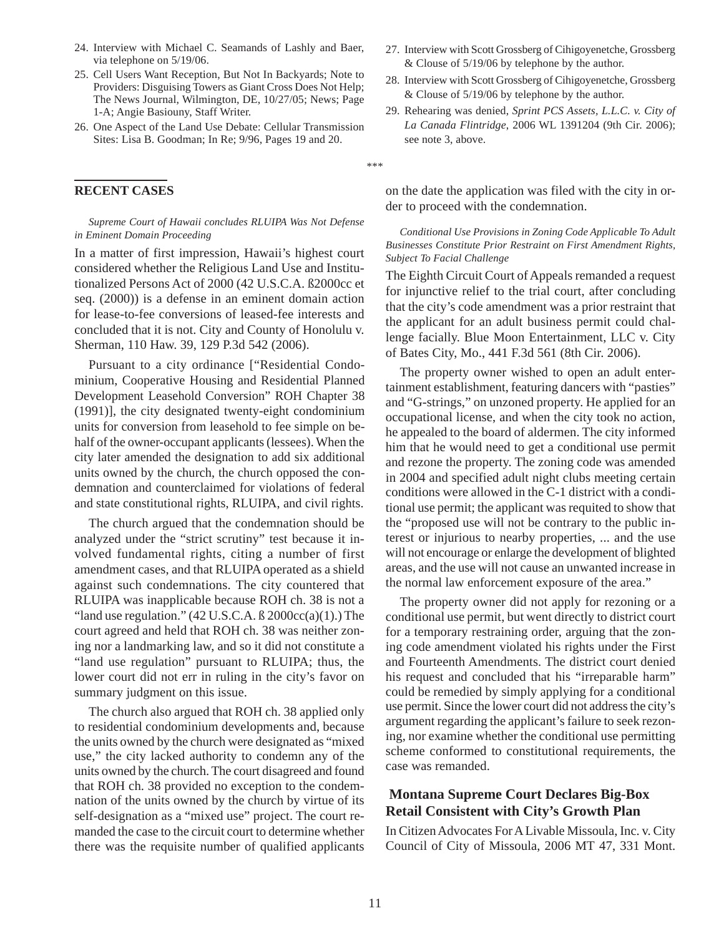- 24. Interview with Michael C. Seamands of Lashly and Baer, via telephone on 5/19/06.
- 25. Cell Users Want Reception, But Not In Backyards; Note to Providers: Disguising Towers as Giant Cross Does Not Help; The News Journal, Wilmington, DE, 10/27/05; News; Page 1-A; Angie Basiouny, Staff Writer.
- 26. One Aspect of the Land Use Debate: Cellular Transmission Sites: Lisa B. Goodman; In Re; 9/96, Pages 19 and 20.

#### **RECENT CASES**

#### *Supreme Court of Hawaii concludes RLUIPA Was Not Defense in Eminent Domain Proceeding*

In a matter of first impression, Hawaii's highest court considered whether the Religious Land Use and Institutionalized Persons Act of 2000 (42 U.S.C.A. ß2000cc et seq. (2000)) is a defense in an eminent domain action for lease-to-fee conversions of leased-fee interests and concluded that it is not. City and County of Honolulu v. Sherman, 110 Haw. 39, 129 P.3d 542 (2006).

Pursuant to a city ordinance ["Residential Condominium, Cooperative Housing and Residential Planned Development Leasehold Conversion" ROH Chapter 38 (1991)], the city designated twenty-eight condominium units for conversion from leasehold to fee simple on behalf of the owner-occupant applicants (lessees). When the city later amended the designation to add six additional units owned by the church, the church opposed the condemnation and counterclaimed for violations of federal and state constitutional rights, RLUIPA, and civil rights.

The church argued that the condemnation should be analyzed under the "strict scrutiny" test because it involved fundamental rights, citing a number of first amendment cases, and that RLUIPA operated as a shield against such condemnations. The city countered that RLUIPA was inapplicable because ROH ch. 38 is not a "land use regulation."  $(42 \text{ U.S.C.A. } B 2000 \text{ cc}(a)(1))$ . The court agreed and held that ROH ch. 38 was neither zoning nor a landmarking law, and so it did not constitute a "land use regulation" pursuant to RLUIPA; thus, the lower court did not err in ruling in the city's favor on summary judgment on this issue.

The church also argued that ROH ch. 38 applied only to residential condominium developments and, because the units owned by the church were designated as "mixed use," the city lacked authority to condemn any of the units owned by the church. The court disagreed and found that ROH ch. 38 provided no exception to the condemnation of the units owned by the church by virtue of its self-designation as a "mixed use" project. The court remanded the case to the circuit court to determine whether there was the requisite number of qualified applicants

- 27. Interview with Scott Grossberg of Cihigoyenetche, Grossberg & Clouse of 5/19/06 by telephone by the author.
- 28. Interview with Scott Grossberg of Cihigoyenetche, Grossberg & Clouse of 5/19/06 by telephone by the author.
- 29. Rehearing was denied, *Sprint PCS Assets, L.L.C. v. City of La Canada Flintridge*, 2006 WL 1391204 (9th Cir. 2006); see note 3, above.

\*\*\*

on the date the application was filed with the city in order to proceed with the condemnation.

#### *Conditional Use Provisions in Zoning Code Applicable To Adult Businesses Constitute Prior Restraint on First Amendment Rights, Subject To Facial Challenge*

The Eighth Circuit Court of Appeals remanded a request for injunctive relief to the trial court, after concluding that the city's code amendment was a prior restraint that the applicant for an adult business permit could challenge facially. Blue Moon Entertainment, LLC v. City of Bates City, Mo., 441 F.3d 561 (8th Cir. 2006).

The property owner wished to open an adult entertainment establishment, featuring dancers with "pasties" and "G-strings," on unzoned property. He applied for an occupational license, and when the city took no action, he appealed to the board of aldermen. The city informed him that he would need to get a conditional use permit and rezone the property. The zoning code was amended in 2004 and specified adult night clubs meeting certain conditions were allowed in the C-1 district with a conditional use permit; the applicant was requited to show that the "proposed use will not be contrary to the public interest or injurious to nearby properties, ... and the use will not encourage or enlarge the development of blighted areas, and the use will not cause an unwanted increase in the normal law enforcement exposure of the area."

The property owner did not apply for rezoning or a conditional use permit, but went directly to district court for a temporary restraining order, arguing that the zoning code amendment violated his rights under the First and Fourteenth Amendments. The district court denied his request and concluded that his "irreparable harm" could be remedied by simply applying for a conditional use permit. Since the lower court did not address the city's argument regarding the applicant's failure to seek rezoning, nor examine whether the conditional use permitting scheme conformed to constitutional requirements, the case was remanded.

## **Montana Supreme Court Declares Big-Box Retail Consistent with City's Growth Plan**

In Citizen Advocates For A Livable Missoula, Inc. v. City Council of City of Missoula, 2006 MT 47, 331 Mont.